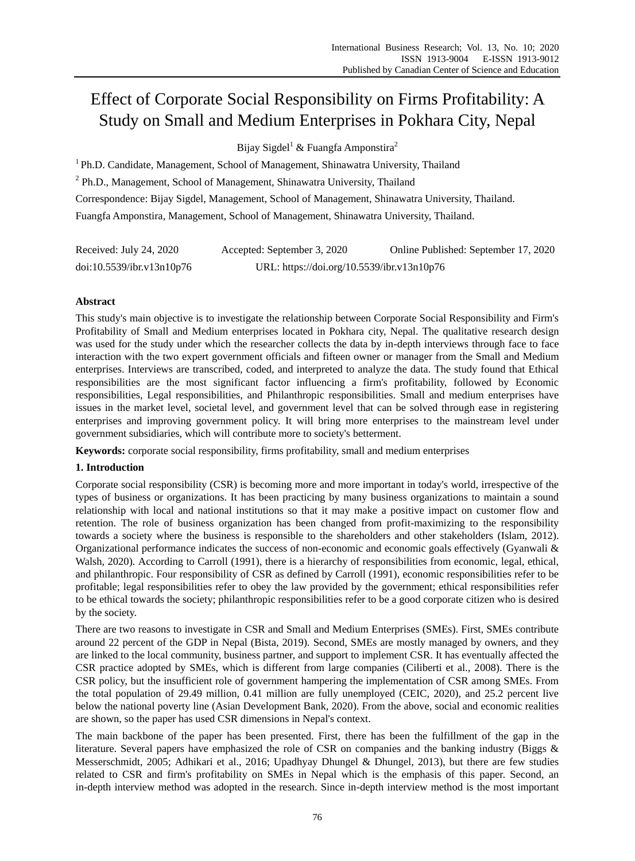# Effect of Corporate Social Responsibility on Firms Profitability: A Study on Small and Medium Enterprises in Pokhara City, Nepal

Bijay Sigdel<sup>1</sup> & Fuangfa Amponstira<sup>2</sup>

<sup>1</sup> Ph.D. Candidate, Management, School of Management, Shinawatra University, Thailand <sup>2</sup> Ph.D., Management, School of Management, Shinawatra University, Thailand Correspondence: Bijay Sigdel, Management, School of Management, Shinawatra University, Thailand. Fuangfa Amponstira, Management, School of Management, Shinawatra University, Thailand.

| Received: July 24, 2020   | Accepted: September 3, 2020                | Online Published: September 17, 2020 |
|---------------------------|--------------------------------------------|--------------------------------------|
| doi:10.5539/ibr.v13n10p76 | URL: https://doi.org/10.5539/ibr.v13n10p76 |                                      |

# **Abstract**

This study's main objective is to investigate the relationship between Corporate Social Responsibility and Firm's Profitability of Small and Medium enterprises located in Pokhara city, Nepal. The qualitative research design was used for the study under which the researcher collects the data by in-depth interviews through face to face interaction with the two expert government officials and fifteen owner or manager from the Small and Medium enterprises. Interviews are transcribed, coded, and interpreted to analyze the data. The study found that Ethical responsibilities are the most significant factor influencing a firm's profitability, followed by Economic responsibilities, Legal responsibilities, and Philanthropic responsibilities. Small and medium enterprises have issues in the market level, societal level, and government level that can be solved through ease in registering enterprises and improving government policy. It will bring more enterprises to the mainstream level under government subsidiaries, which will contribute more to society's betterment.

**Keywords:** corporate social responsibility, firms profitability, small and medium enterprises

## **1. Introduction**

Corporate social responsibility (CSR) is becoming more and more important in today's world, irrespective of the types of business or organizations. It has been practicing by many business organizations to maintain a sound relationship with local and national institutions so that it may make a positive impact on customer flow and retention. The role of business organization has been changed from profit-maximizing to the responsibility towards a society where the business is responsible to the shareholders and other stakeholders (Islam, 2012). Organizational performance indicates the success of non-economic and economic goals effectively (Gyanwali & Walsh, 2020). According to Carroll (1991), there is a hierarchy of responsibilities from economic, legal, ethical, and philanthropic. Four responsibility of CSR as defined by Carroll (1991), economic responsibilities refer to be profitable; legal responsibilities refer to obey the law provided by the government; ethical responsibilities refer to be ethical towards the society; philanthropic responsibilities refer to be a good corporate citizen who is desired by the society.

There are two reasons to investigate in CSR and Small and Medium Enterprises (SMEs). First, SMEs contribute around 22 percent of the GDP in Nepal (Bista, 2019). Second, SMEs are mostly managed by owners, and they are linked to the local community, business partner, and support to implement CSR. It has eventually affected the CSR practice adopted by SMEs, which is different from large companies (Ciliberti et al., 2008). There is the CSR policy, but the insufficient role of government hampering the implementation of CSR among SMEs. From the total population of 29.49 million, 0.41 million are fully unemployed (CEIC, 2020), and 25.2 percent live below the national poverty line (Asian Development Bank, 2020). From the above, social and economic realities are shown, so the paper has used CSR dimensions in Nepal's context.

The main backbone of the paper has been presented. First, there has been the fulfillment of the gap in the literature. Several papers have emphasized the role of CSR on companies and the banking industry (Biggs & Messerschmidt, 2005; Adhikari et al., 2016; Upadhyay Dhungel & Dhungel, 2013), but there are few studies related to CSR and firm's profitability on SMEs in Nepal which is the emphasis of this paper. Second, an in-depth interview method was adopted in the research. Since in-depth interview method is the most important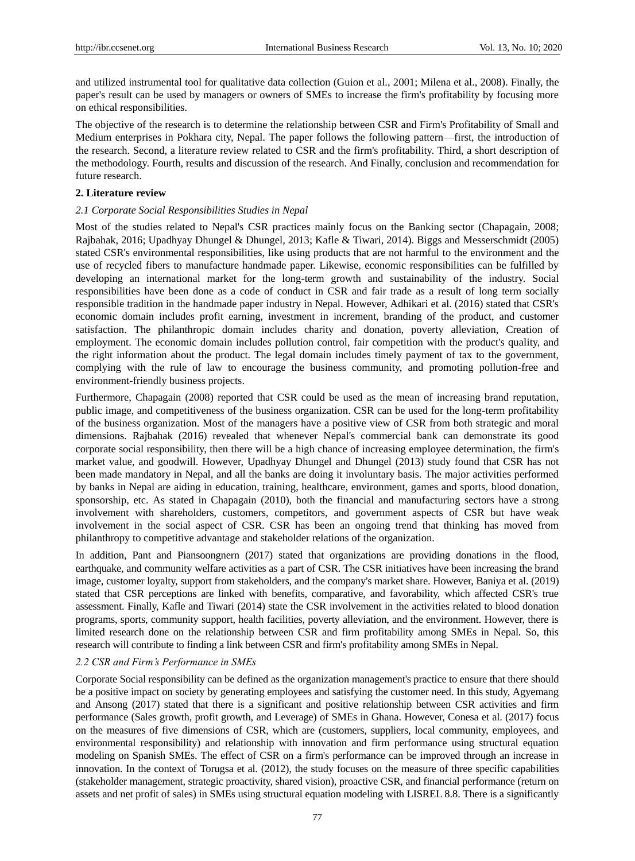and utilized instrumental tool for qualitative data collection (Guion et al., 2001; Milena et al., 2008). Finally, the paper's result can be used by managers or owners of SMEs to increase the firm's profitability by focusing more on ethical responsibilities.

The objective of the research is to determine the relationship between CSR and Firm's Profitability of Small and Medium enterprises in Pokhara city, Nepal. The paper follows the following pattern—first, the introduction of the research. Second, a literature review related to CSR and the firm's profitability. Third, a short description of the methodology. Fourth, results and discussion of the research. And Finally, conclusion and recommendation for future research.

#### **2. Literature review**

#### *2.1 Corporate Social Responsibilities Studies in Nepal*

Most of the studies related to Nepal's CSR practices mainly focus on the Banking sector (Chapagain, 2008; Rajbahak, 2016; Upadhyay Dhungel & Dhungel, 2013; Kafle & Tiwari, 2014). Biggs and Messerschmidt (2005) stated CSR's environmental responsibilities, like using products that are not harmful to the environment and the use of recycled fibers to manufacture handmade paper. Likewise, economic responsibilities can be fulfilled by developing an international market for the long-term growth and sustainability of the industry. Social responsibilities have been done as a code of conduct in CSR and fair trade as a result of long term socially responsible tradition in the handmade paper industry in Nepal. However, Adhikari et al. (2016) stated that CSR's economic domain includes profit earning, investment in increment, branding of the product, and customer satisfaction. The philanthropic domain includes charity and donation, poverty alleviation, Creation of employment. The economic domain includes pollution control, fair competition with the product's quality, and the right information about the product. The legal domain includes timely payment of tax to the government, complying with the rule of law to encourage the business community, and promoting pollution-free and environment-friendly business projects.

Furthermore, Chapagain (2008) reported that CSR could be used as the mean of increasing brand reputation, public image, and competitiveness of the business organization. CSR can be used for the long-term profitability of the business organization. Most of the managers have a positive view of CSR from both strategic and moral dimensions. Rajbahak (2016) revealed that whenever Nepal's commercial bank can demonstrate its good corporate social responsibility, then there will be a high chance of increasing employee determination, the firm's market value, and goodwill. However, Upadhyay Dhungel and Dhungel (2013) study found that CSR has not been made mandatory in Nepal, and all the banks are doing it involuntary basis. The major activities performed by banks in Nepal are aiding in education, training, healthcare, environment, games and sports, blood donation, sponsorship, etc. As stated in Chapagain (2010), both the financial and manufacturing sectors have a strong involvement with shareholders, customers, competitors, and government aspects of CSR but have weak involvement in the social aspect of CSR. CSR has been an ongoing trend that thinking has moved from philanthropy to competitive advantage and stakeholder relations of the organization.

In addition, Pant and Piansoongnern (2017) stated that organizations are providing donations in the flood, earthquake, and community welfare activities as a part of CSR. The CSR initiatives have been increasing the brand image, customer loyalty, support from stakeholders, and the company's market share. However, Baniya et al. (2019) stated that CSR perceptions are linked with benefits, comparative, and favorability, which affected CSR's true assessment. Finally, Kafle and Tiwari (2014) state the CSR involvement in the activities related to blood donation programs, sports, community support, health facilities, poverty alleviation, and the environment. However, there is limited research done on the relationship between CSR and firm profitability among SMEs in Nepal. So, this research will contribute to finding a link between CSR and firm's profitability among SMEs in Nepal.

## *2.2 CSR and Firm's Performance in SMEs*

Corporate Social responsibility can be defined as the organization management's practice to ensure that there should be a positive impact on society by generating employees and satisfying the customer need. In this study, Agyemang and Ansong (2017) stated that there is a significant and positive relationship between CSR activities and firm performance (Sales growth, profit growth, and Leverage) of SMEs in Ghana. However, Conesa et al. (2017) focus on the measures of five dimensions of CSR, which are (customers, suppliers, local community, employees, and environmental responsibility) and relationship with innovation and firm performance using structural equation modeling on Spanish SMEs. The effect of CSR on a firm's performance can be improved through an increase in innovation. In the context of Torugsa et al. (2012), the study focuses on the measure of three specific capabilities (stakeholder management, strategic proactivity, shared vision), proactive CSR, and financial performance (return on assets and net profit of sales) in SMEs using structural equation modeling with LISREL 8.8. There is a significantly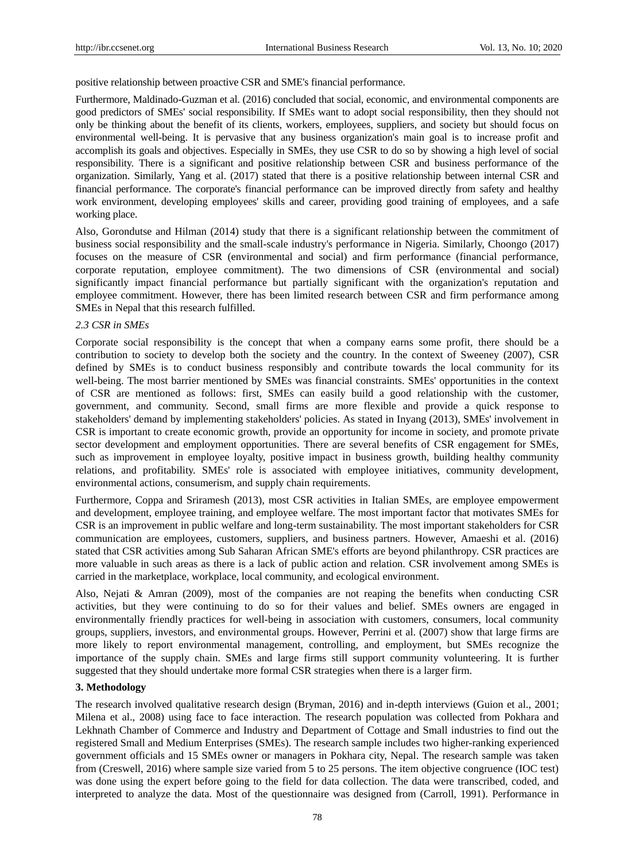positive relationship between proactive CSR and SME's financial performance.

Furthermore, Maldinado-Guzman et al. (2016) concluded that social, economic, and environmental components are good predictors of SMEs' social responsibility. If SMEs want to adopt social responsibility, then they should not only be thinking about the benefit of its clients, workers, employees, suppliers, and society but should focus on environmental well-being. It is pervasive that any business organization's main goal is to increase profit and accomplish its goals and objectives. Especially in SMEs, they use CSR to do so by showing a high level of social responsibility. There is a significant and positive relationship between CSR and business performance of the organization. Similarly, Yang et al. (2017) stated that there is a positive relationship between internal CSR and financial performance. The corporate's financial performance can be improved directly from safety and healthy work environment, developing employees' skills and career, providing good training of employees, and a safe working place.

Also, Gorondutse and Hilman (2014) study that there is a significant relationship between the commitment of business social responsibility and the small-scale industry's performance in Nigeria. Similarly, Choongo (2017) focuses on the measure of CSR (environmental and social) and firm performance (financial performance, corporate reputation, employee commitment). The two dimensions of CSR (environmental and social) significantly impact financial performance but partially significant with the organization's reputation and employee commitment. However, there has been limited research between CSR and firm performance among SMEs in Nepal that this research fulfilled.

#### *2.3 CSR in SMEs*

Corporate social responsibility is the concept that when a company earns some profit, there should be a contribution to society to develop both the society and the country. In the context of Sweeney (2007), CSR defined by SMEs is to conduct business responsibly and contribute towards the local community for its well-being. The most barrier mentioned by SMEs was financial constraints. SMEs' opportunities in the context of CSR are mentioned as follows: first, SMEs can easily build a good relationship with the customer, government, and community. Second, small firms are more flexible and provide a quick response to stakeholders' demand by implementing stakeholders' policies. As stated in Inyang (2013), SMEs' involvement in CSR is important to create economic growth, provide an opportunity for income in society, and promote private sector development and employment opportunities. There are several benefits of CSR engagement for SMEs, such as improvement in employee loyalty, positive impact in business growth, building healthy community relations, and profitability. SMEs' role is associated with employee initiatives, community development, environmental actions, consumerism, and supply chain requirements.

Furthermore, Coppa and Sriramesh (2013), most CSR activities in Italian SMEs, are employee empowerment and development, employee training, and employee welfare. The most important factor that motivates SMEs for CSR is an improvement in public welfare and long-term sustainability. The most important stakeholders for CSR communication are employees, customers, suppliers, and business partners. However, Amaeshi et al. (2016) stated that CSR activities among Sub Saharan African SME's efforts are beyond philanthropy. CSR practices are more valuable in such areas as there is a lack of public action and relation. CSR involvement among SMEs is carried in the marketplace, workplace, local community, and ecological environment.

Also, Nejati & Amran (2009), most of the companies are not reaping the benefits when conducting CSR activities, but they were continuing to do so for their values and belief. SMEs owners are engaged in environmentally friendly practices for well-being in association with customers, consumers, local community groups, suppliers, investors, and environmental groups. However, Perrini et al. (2007) show that large firms are more likely to report environmental management, controlling, and employment, but SMEs recognize the importance of the supply chain. SMEs and large firms still support community volunteering. It is further suggested that they should undertake more formal CSR strategies when there is a larger firm.

#### **3. Methodology**

The research involved qualitative research design (Bryman, 2016) and in-depth interviews (Guion et al., 2001; Milena et al., 2008) using face to face interaction. The research population was collected from Pokhara and Lekhnath Chamber of Commerce and Industry and Department of Cottage and Small industries to find out the registered Small and Medium Enterprises (SMEs). The research sample includes two higher-ranking experienced government officials and 15 SMEs owner or managers in Pokhara city, Nepal. The research sample was taken from (Creswell, 2016) where sample size varied from 5 to 25 persons. The item objective congruence (IOC test) was done using the expert before going to the field for data collection. The data were transcribed, coded, and interpreted to analyze the data. Most of the questionnaire was designed from (Carroll, 1991). Performance in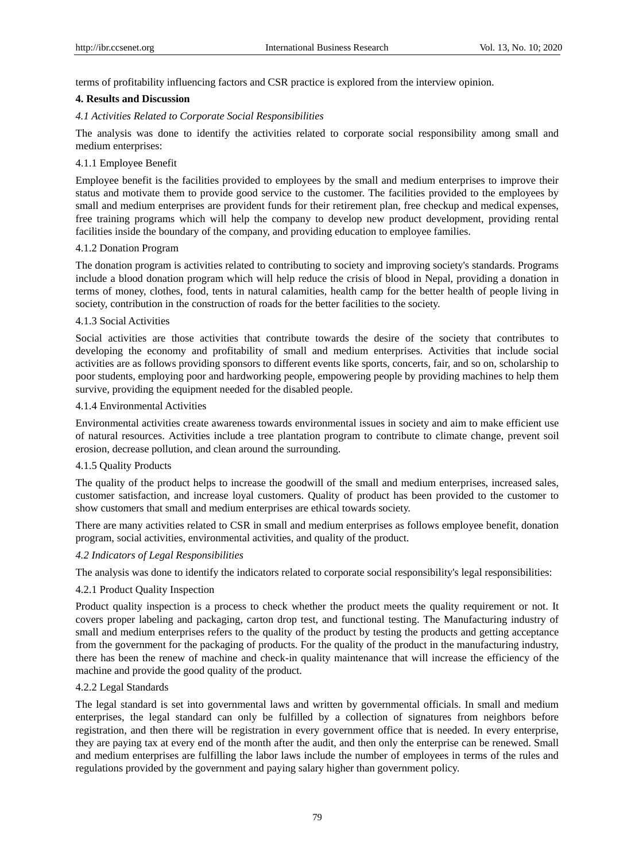terms of profitability influencing factors and CSR practice is explored from the interview opinion.

## **4. Results and Discussion**

## *4.1 Activities Related to Corporate Social Responsibilities*

The analysis was done to identify the activities related to corporate social responsibility among small and medium enterprises:

## 4.1.1 Employee Benefit

Employee benefit is the facilities provided to employees by the small and medium enterprises to improve their status and motivate them to provide good service to the customer. The facilities provided to the employees by small and medium enterprises are provident funds for their retirement plan, free checkup and medical expenses, free training programs which will help the company to develop new product development, providing rental facilities inside the boundary of the company, and providing education to employee families.

## 4.1.2 Donation Program

The donation program is activities related to contributing to society and improving society's standards. Programs include a blood donation program which will help reduce the crisis of blood in Nepal, providing a donation in terms of money, clothes, food, tents in natural calamities, health camp for the better health of people living in society, contribution in the construction of roads for the better facilities to the society.

## 4.1.3 Social Activities

Social activities are those activities that contribute towards the desire of the society that contributes to developing the economy and profitability of small and medium enterprises. Activities that include social activities are as follows providing sponsors to different events like sports, concerts, fair, and so on, scholarship to poor students, employing poor and hardworking people, empowering people by providing machines to help them survive, providing the equipment needed for the disabled people.

## 4.1.4 Environmental Activities

Environmental activities create awareness towards environmental issues in society and aim to make efficient use of natural resources. Activities include a tree plantation program to contribute to climate change, prevent soil erosion, decrease pollution, and clean around the surrounding.

## 4.1.5 Quality Products

The quality of the product helps to increase the goodwill of the small and medium enterprises, increased sales, customer satisfaction, and increase loyal customers. Quality of product has been provided to the customer to show customers that small and medium enterprises are ethical towards society.

There are many activities related to CSR in small and medium enterprises as follows employee benefit, donation program, social activities, environmental activities, and quality of the product.

## *4.2 Indicators of Legal Responsibilities*

The analysis was done to identify the indicators related to corporate social responsibility's legal responsibilities:

## 4.2.1 Product Quality Inspection

Product quality inspection is a process to check whether the product meets the quality requirement or not. It covers proper labeling and packaging, carton drop test, and functional testing. The Manufacturing industry of small and medium enterprises refers to the quality of the product by testing the products and getting acceptance from the government for the packaging of products. For the quality of the product in the manufacturing industry, there has been the renew of machine and check-in quality maintenance that will increase the efficiency of the machine and provide the good quality of the product.

## 4.2.2 Legal Standards

The legal standard is set into governmental laws and written by governmental officials. In small and medium enterprises, the legal standard can only be fulfilled by a collection of signatures from neighbors before registration, and then there will be registration in every government office that is needed. In every enterprise, they are paying tax at every end of the month after the audit, and then only the enterprise can be renewed. Small and medium enterprises are fulfilling the labor laws include the number of employees in terms of the rules and regulations provided by the government and paying salary higher than government policy.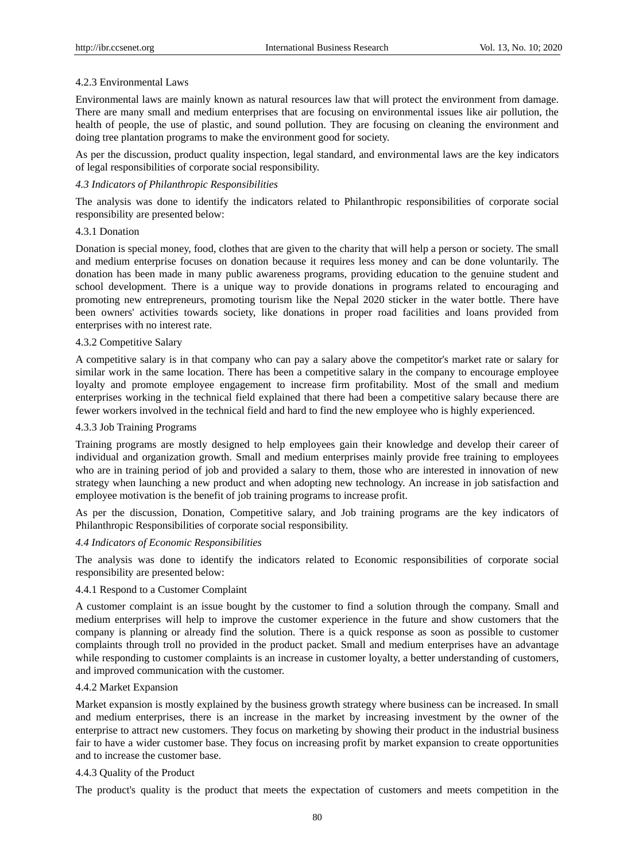#### 4.2.3 Environmental Laws

Environmental laws are mainly known as natural resources law that will protect the environment from damage. There are many small and medium enterprises that are focusing on environmental issues like air pollution, the health of people, the use of plastic, and sound pollution. They are focusing on cleaning the environment and doing tree plantation programs to make the environment good for society.

As per the discussion, product quality inspection, legal standard, and environmental laws are the key indicators of legal responsibilities of corporate social responsibility.

#### *4.3 Indicators of Philanthropic Responsibilities*

The analysis was done to identify the indicators related to Philanthropic responsibilities of corporate social responsibility are presented below:

#### 4.3.1 Donation

Donation is special money, food, clothes that are given to the charity that will help a person or society. The small and medium enterprise focuses on donation because it requires less money and can be done voluntarily. The donation has been made in many public awareness programs, providing education to the genuine student and school development. There is a unique way to provide donations in programs related to encouraging and promoting new entrepreneurs, promoting tourism like the Nepal 2020 sticker in the water bottle. There have been owners' activities towards society, like donations in proper road facilities and loans provided from enterprises with no interest rate.

#### 4.3.2 Competitive Salary

A competitive salary is in that company who can pay a salary above the competitor's market rate or salary for similar work in the same location. There has been a competitive salary in the company to encourage employee loyalty and promote employee engagement to increase firm profitability. Most of the small and medium enterprises working in the technical field explained that there had been a competitive salary because there are fewer workers involved in the technical field and hard to find the new employee who is highly experienced.

#### 4.3.3 Job Training Programs

Training programs are mostly designed to help employees gain their knowledge and develop their career of individual and organization growth. Small and medium enterprises mainly provide free training to employees who are in training period of job and provided a salary to them, those who are interested in innovation of new strategy when launching a new product and when adopting new technology. An increase in job satisfaction and employee motivation is the benefit of job training programs to increase profit.

As per the discussion, Donation, Competitive salary, and Job training programs are the key indicators of Philanthropic Responsibilities of corporate social responsibility.

#### *4.4 Indicators of Economic Responsibilities*

The analysis was done to identify the indicators related to Economic responsibilities of corporate social responsibility are presented below:

#### 4.4.1 Respond to a Customer Complaint

A customer complaint is an issue bought by the customer to find a solution through the company. Small and medium enterprises will help to improve the customer experience in the future and show customers that the company is planning or already find the solution. There is a quick response as soon as possible to customer complaints through troll no provided in the product packet. Small and medium enterprises have an advantage while responding to customer complaints is an increase in customer loyalty, a better understanding of customers, and improved communication with the customer.

#### 4.4.2 Market Expansion

Market expansion is mostly explained by the business growth strategy where business can be increased. In small and medium enterprises, there is an increase in the market by increasing investment by the owner of the enterprise to attract new customers. They focus on marketing by showing their product in the industrial business fair to have a wider customer base. They focus on increasing profit by market expansion to create opportunities and to increase the customer base.

#### 4.4.3 Quality of the Product

The product's quality is the product that meets the expectation of customers and meets competition in the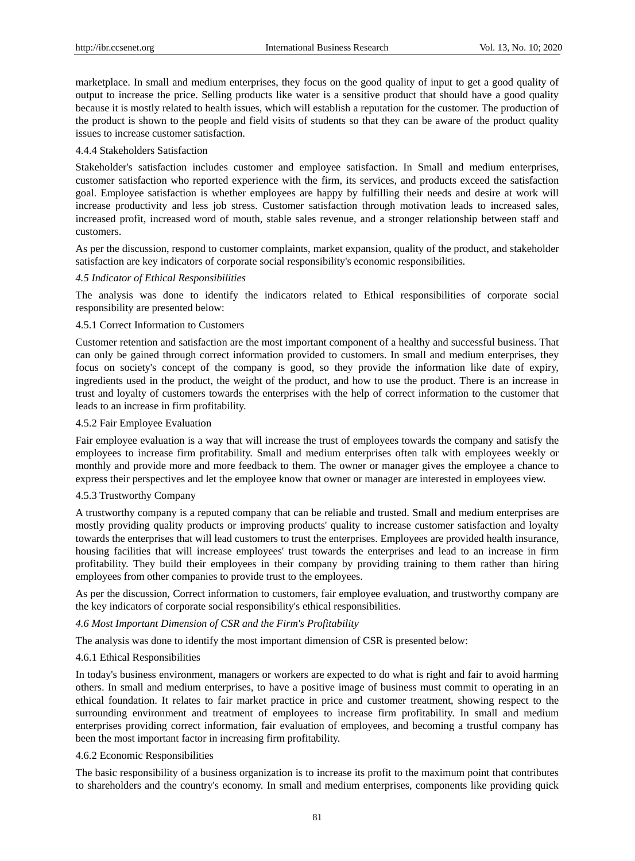marketplace. In small and medium enterprises, they focus on the good quality of input to get a good quality of output to increase the price. Selling products like water is a sensitive product that should have a good quality because it is mostly related to health issues, which will establish a reputation for the customer. The production of the product is shown to the people and field visits of students so that they can be aware of the product quality issues to increase customer satisfaction.

## 4.4.4 Stakeholders Satisfaction

Stakeholder's satisfaction includes customer and employee satisfaction. In Small and medium enterprises, customer satisfaction who reported experience with the firm, its services, and products exceed the satisfaction goal. Employee satisfaction is whether employees are happy by fulfilling their needs and desire at work will increase productivity and less job stress. Customer satisfaction through motivation leads to increased sales, increased profit, increased word of mouth, stable sales revenue, and a stronger relationship between staff and customers.

As per the discussion, respond to customer complaints, market expansion, quality of the product, and stakeholder satisfaction are key indicators of corporate social responsibility's economic responsibilities.

## *4.5 Indicator of Ethical Responsibilities*

The analysis was done to identify the indicators related to Ethical responsibilities of corporate social responsibility are presented below:

## 4.5.1 Correct Information to Customers

Customer retention and satisfaction are the most important component of a healthy and successful business. That can only be gained through correct information provided to customers. In small and medium enterprises, they focus on society's concept of the company is good, so they provide the information like date of expiry, ingredients used in the product, the weight of the product, and how to use the product. There is an increase in trust and loyalty of customers towards the enterprises with the help of correct information to the customer that leads to an increase in firm profitability.

#### 4.5.2 Fair Employee Evaluation

Fair employee evaluation is a way that will increase the trust of employees towards the company and satisfy the employees to increase firm profitability. Small and medium enterprises often talk with employees weekly or monthly and provide more and more feedback to them. The owner or manager gives the employee a chance to express their perspectives and let the employee know that owner or manager are interested in employees view.

#### 4.5.3 Trustworthy Company

A trustworthy company is a reputed company that can be reliable and trusted. Small and medium enterprises are mostly providing quality products or improving products' quality to increase customer satisfaction and loyalty towards the enterprises that will lead customers to trust the enterprises. Employees are provided health insurance, housing facilities that will increase employees' trust towards the enterprises and lead to an increase in firm profitability. They build their employees in their company by providing training to them rather than hiring employees from other companies to provide trust to the employees.

As per the discussion, Correct information to customers, fair employee evaluation, and trustworthy company are the key indicators of corporate social responsibility's ethical responsibilities.

### *4.6 Most Important Dimension of CSR and the Firm's Profitability*

The analysis was done to identify the most important dimension of CSR is presented below:

#### 4.6.1 Ethical Responsibilities

In today's business environment, managers or workers are expected to do what is right and fair to avoid harming others. In small and medium enterprises, to have a positive image of business must commit to operating in an ethical foundation. It relates to fair market practice in price and customer treatment, showing respect to the surrounding environment and treatment of employees to increase firm profitability. In small and medium enterprises providing correct information, fair evaluation of employees, and becoming a trustful company has been the most important factor in increasing firm profitability.

#### 4.6.2 Economic Responsibilities

The basic responsibility of a business organization is to increase its profit to the maximum point that contributes to shareholders and the country's economy. In small and medium enterprises, components like providing quick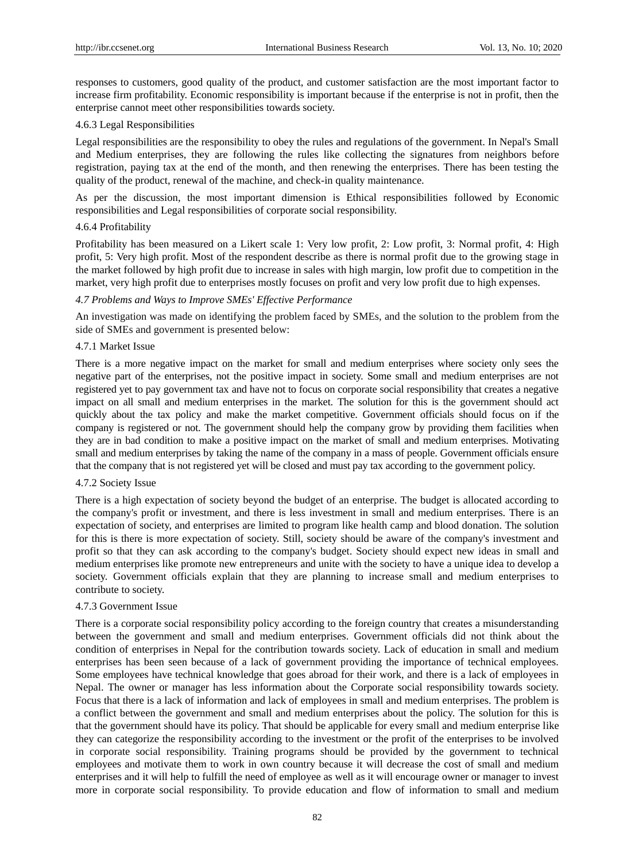responses to customers, good quality of the product, and customer satisfaction are the most important factor to increase firm profitability. Economic responsibility is important because if the enterprise is not in profit, then the enterprise cannot meet other responsibilities towards society.

## 4.6.3 Legal Responsibilities

Legal responsibilities are the responsibility to obey the rules and regulations of the government. In Nepal's Small and Medium enterprises, they are following the rules like collecting the signatures from neighbors before registration, paying tax at the end of the month, and then renewing the enterprises. There has been testing the quality of the product, renewal of the machine, and check-in quality maintenance.

As per the discussion, the most important dimension is Ethical responsibilities followed by Economic responsibilities and Legal responsibilities of corporate social responsibility.

## 4.6.4 Profitability

Profitability has been measured on a Likert scale 1: Very low profit, 2: Low profit, 3: Normal profit, 4: High profit, 5: Very high profit. Most of the respondent describe as there is normal profit due to the growing stage in the market followed by high profit due to increase in sales with high margin, low profit due to competition in the market, very high profit due to enterprises mostly focuses on profit and very low profit due to high expenses.

## *4.7 Problems and Ways to Improve SMEs' Effective Performance*

An investigation was made on identifying the problem faced by SMEs, and the solution to the problem from the side of SMEs and government is presented below:

## 4.7.1 Market Issue

There is a more negative impact on the market for small and medium enterprises where society only sees the negative part of the enterprises, not the positive impact in society. Some small and medium enterprises are not registered yet to pay government tax and have not to focus on corporate social responsibility that creates a negative impact on all small and medium enterprises in the market. The solution for this is the government should act quickly about the tax policy and make the market competitive. Government officials should focus on if the company is registered or not. The government should help the company grow by providing them facilities when they are in bad condition to make a positive impact on the market of small and medium enterprises. Motivating small and medium enterprises by taking the name of the company in a mass of people. Government officials ensure that the company that is not registered yet will be closed and must pay tax according to the government policy.

#### 4.7.2 Society Issue

There is a high expectation of society beyond the budget of an enterprise. The budget is allocated according to the company's profit or investment, and there is less investment in small and medium enterprises. There is an expectation of society, and enterprises are limited to program like health camp and blood donation. The solution for this is there is more expectation of society. Still, society should be aware of the company's investment and profit so that they can ask according to the company's budget. Society should expect new ideas in small and medium enterprises like promote new entrepreneurs and unite with the society to have a unique idea to develop a society. Government officials explain that they are planning to increase small and medium enterprises to contribute to society.

#### 4.7.3 Government Issue

There is a corporate social responsibility policy according to the foreign country that creates a misunderstanding between the government and small and medium enterprises. Government officials did not think about the condition of enterprises in Nepal for the contribution towards society. Lack of education in small and medium enterprises has been seen because of a lack of government providing the importance of technical employees. Some employees have technical knowledge that goes abroad for their work, and there is a lack of employees in Nepal. The owner or manager has less information about the Corporate social responsibility towards society. Focus that there is a lack of information and lack of employees in small and medium enterprises. The problem is a conflict between the government and small and medium enterprises about the policy. The solution for this is that the government should have its policy. That should be applicable for every small and medium enterprise like they can categorize the responsibility according to the investment or the profit of the enterprises to be involved in corporate social responsibility. Training programs should be provided by the government to technical employees and motivate them to work in own country because it will decrease the cost of small and medium enterprises and it will help to fulfill the need of employee as well as it will encourage owner or manager to invest more in corporate social responsibility. To provide education and flow of information to small and medium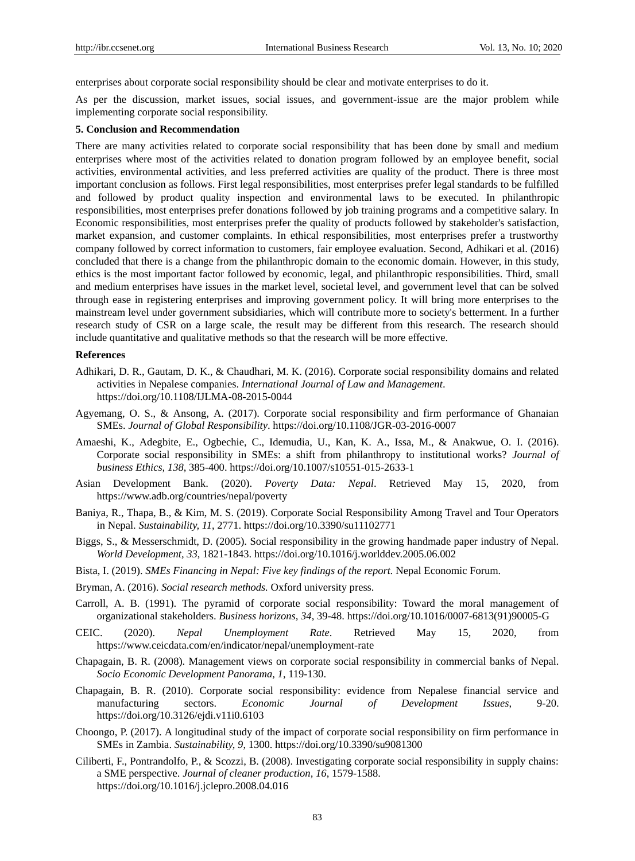enterprises about corporate social responsibility should be clear and motivate enterprises to do it.

As per the discussion, market issues, social issues, and government-issue are the major problem while implementing corporate social responsibility.

#### **5. Conclusion and Recommendation**

There are many activities related to corporate social responsibility that has been done by small and medium enterprises where most of the activities related to donation program followed by an employee benefit, social activities, environmental activities, and less preferred activities are quality of the product. There is three most important conclusion as follows. First legal responsibilities, most enterprises prefer legal standards to be fulfilled and followed by product quality inspection and environmental laws to be executed. In philanthropic responsibilities, most enterprises prefer donations followed by job training programs and a competitive salary. In Economic responsibilities, most enterprises prefer the quality of products followed by stakeholder's satisfaction, market expansion, and customer complaints. In ethical responsibilities, most enterprises prefer a trustworthy company followed by correct information to customers, fair employee evaluation. Second, Adhikari et al. (2016) concluded that there is a change from the philanthropic domain to the economic domain. However, in this study, ethics is the most important factor followed by economic, legal, and philanthropic responsibilities. Third, small and medium enterprises have issues in the market level, societal level, and government level that can be solved through ease in registering enterprises and improving government policy. It will bring more enterprises to the mainstream level under government subsidiaries, which will contribute more to society's betterment. In a further research study of CSR on a large scale, the result may be different from this research. The research should include quantitative and qualitative methods so that the research will be more effective.

#### **References**

- Adhikari, D. R., Gautam, D. K., & Chaudhari, M. K. (2016). Corporate social responsibility domains and related activities in Nepalese companies. *International Journal of Law and Management*. https://doi.org/10.1108/IJLMA-08-2015-0044
- Agyemang, O. S., & Ansong, A. (2017). Corporate social responsibility and firm performance of Ghanaian SMEs. *Journal of Global Responsibility*. https://doi.org/10.1108/JGR-03-2016-0007
- Amaeshi, K., Adegbite, E., Ogbechie, C., Idemudia, U., Kan, K. A., Issa, M., & Anakwue, O. I. (2016). Corporate social responsibility in SMEs: a shift from philanthropy to institutional works? *Journal of business Ethics, 138*, 385-400. https://doi.org/10.1007/s10551-015-2633-1
- Asian Development Bank. (2020). *Poverty Data: Nepal*. Retrieved May 15, 2020, from https://www.adb.org/countries/nepal/poverty
- Baniya, R., Thapa, B., & Kim, M. S. (2019). Corporate Social Responsibility Among Travel and Tour Operators in Nepal. *Sustainability, 11*, 2771. https://doi.org/10.3390/su11102771
- Biggs, S., & Messerschmidt, D. (2005). Social responsibility in the growing handmade paper industry of Nepal. *World Development, 33*, 1821-1843. https://doi.org/10.1016/j.worlddev.2005.06.002
- Bista, I. (2019). *SMEs Financing in Nepal: Five key findings of the report.* Nepal Economic Forum.
- Bryman, A. (2016). *Social research methods.* Oxford university press.
- Carroll, A. B. (1991). The pyramid of corporate social responsibility: Toward the moral management of organizational stakeholders. *Business horizons, 34*, 39-48. https://doi.org/10.1016/0007-6813(91)90005-G
- CEIC. (2020). *Nepal Unemployment Rate*. Retrieved May 15, 2020, from https://www.ceicdata.com/en/indicator/nepal/unemployment-rate
- Chapagain, B. R. (2008). Management views on corporate social responsibility in commercial banks of Nepal. *Socio Economic Development Panorama, 1*, 119-130.
- Chapagain, B. R. (2010). Corporate social responsibility: evidence from Nepalese financial service and manufacturing sectors. *Economic Journal of Development Issues*, 9-20. https://doi.org/10.3126/ejdi.v11i0.6103
- Choongo, P. (2017). A longitudinal study of the impact of corporate social responsibility on firm performance in SMEs in Zambia. *Sustainability, 9*, 1300. https://doi.org/10.3390/su9081300
- Ciliberti, F., Pontrandolfo, P., & Scozzi, B. (2008). Investigating corporate social responsibility in supply chains: a SME perspective. *Journal of cleaner production, 16*, 1579-1588. https://doi.org/10.1016/j.jclepro.2008.04.016